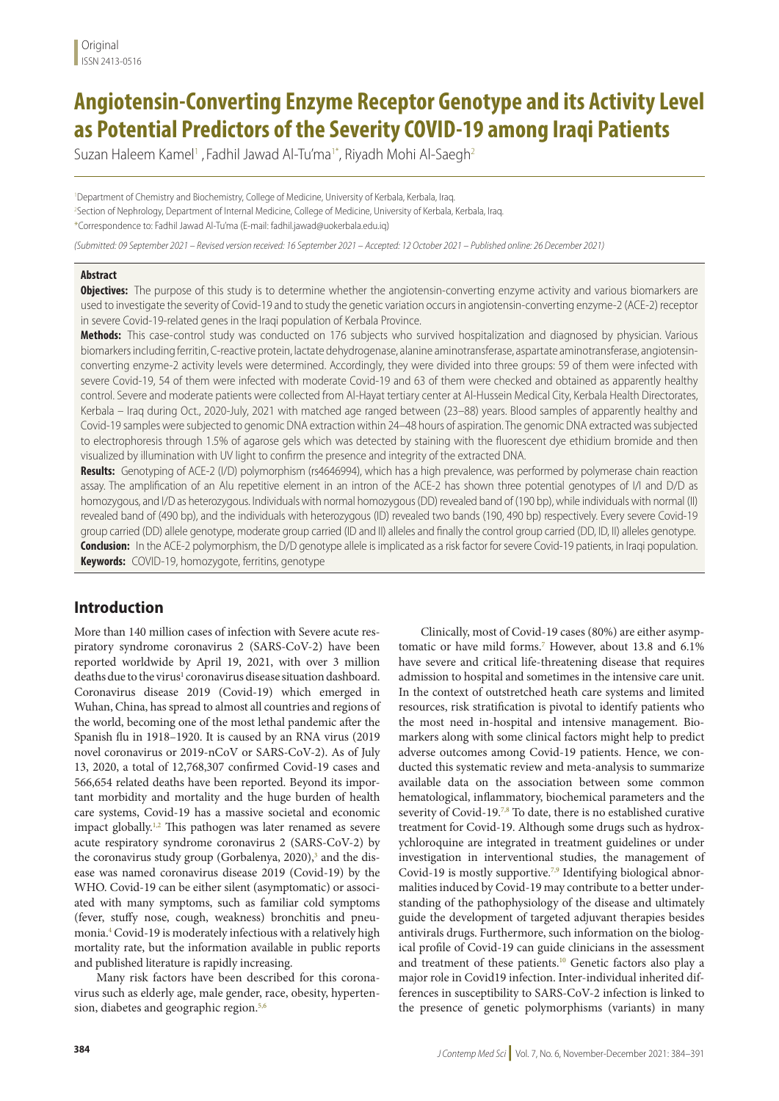# **Angiotensin-Converting Enzyme Receptor Genotype and its Activity Level as Potential Predictors of the Severity COVID-19 among Iraqi Patients**

Suzan Haleem Kamel<sup>1</sup> , Fadhil Jawad Al-Tu'ma<sup>1\*</sup>, Riyadh Mohi Al-Saegh<sup>2</sup>

<sup>1</sup>Department of Chemistry and Biochemistry, College of Medicine, University of Kerbala, Kerbala, Iraq. <sup>2</sup>Section of Nephrology, Department of Internal Medicine, College of Medicine, University of Kerbala, Kerbala, Iraq. \*Correspondence to: Fadhil Jawad Al-Tu'ma (E-mail: fadhil.jawad@uokerbala.edu.iq)

*(Submitted: 09 September 2021 – Revised version received: 16 September 2021 – Accepted: 12 October 2021 – Published online: 26 December 2021)*

#### **Abstract**

**Objectives:** The purpose of this study is to determine whether the angiotensin-converting enzyme activity and various biomarkers are used to investigate the severity of Covid-19 and to study the genetic variation occurs in angiotensin-converting enzyme-2 (ACE-2) receptor in severe Covid-19-related genes in the Iraqi population of Kerbala Province.

**Methods:** This case-control study was conducted on 176 subjects who survived hospitalization and diagnosed by physician. Various biomarkers including ferritin, C-reactive protein, lactate dehydrogenase, alanine aminotransferase, aspartate aminotransferase, angiotensinconverting enzyme-2 activity levels were determined. Accordingly, they were divided into three groups: 59 of them were infected with severe Covid-19, 54 of them were infected with moderate Covid-19 and 63 of them were checked and obtained as apparently healthy control. Severe and moderate patients were collected from Al-Hayat tertiary center at Al-Hussein Medical City, Kerbala Health Directorates, Kerbala – Iraq during Oct., 2020-July, 2021 with matched age ranged between (23–88) years. Blood samples of apparently healthy and Covid-19 samples were subjected to genomic DNA extraction within 24–48 hours of aspiration. The genomic DNA extracted was subjected to electrophoresis through 1.5% of agarose gels which was detected by staining with the fluorescent dye ethidium bromide and then visualized by illumination with UV light to confirm the presence and integrity of the extracted DNA.

**Results:** Genotyping of ACE-2 (I/D) polymorphism (rs4646994), which has a high prevalence, was performed by polymerase chain reaction assay. The amplification of an Alu repetitive element in an intron of the ACE-2 has shown three potential genotypes of I/I and D/D as homozygous, and I/D as heterozygous. Individuals with normal homozygous (DD) revealed band of (190 bp), while individuals with normal (II) revealed band of (490 bp), and the individuals with heterozygous (ID) revealed two bands (190, 490 bp) respectively. Every severe Covid-19 group carried (DD) allele genotype, moderate group carried (ID and II) alleles and finally the control group carried (DD, ID, II) alleles genotype. **Conclusion:** In the ACE-2 polymorphism, the D/D genotype allele is implicated as a risk factor for severe Covid-19 patients, in Iraqi population. **Keywords:** COVID-19, homozygote, ferritins, genotype

## **Introduction**

More than 140 million cases of infection with Severe acute respiratory syndrome coronavirus 2 (SARS-CoV-2) have been reported worldwide by April 19, 2021, with over 3 million deaths due to the virus<sup>1</sup> coronavirus disease situation dashboard. Coronavirus disease 2019 (Covid-19) which emerged in Wuhan, China, has spread to almost all countries and regions of the world, becoming one of the most lethal pandemic after the Spanish flu in 1918–1920. It is caused by an RNA virus (2019 novel coronavirus or 2019-nCoV or SARS-CoV-2). As of July 13, 2020, a total of 12,768,307 confirmed Covid-19 cases and 566,654 related deaths have been reported. Beyond its important morbidity and mortality and the huge burden of health care systems, Covid-19 has a massive societal and economic impact globally.<sup>1,2</sup> This pathogen was later renamed as severe acute respiratory syndrome coronavirus 2 (SARS-CoV-2) by the coronavirus study group (Gorbalenya, 2020),<sup>3</sup> and the disease was named coronavirus disease 2019 (Covid-19) by the WHO. Covid-19 can be either silent (asymptomatic) or associated with many symptoms, such as familiar cold symptoms (fever, stuffy nose, cough, weakness) bronchitis and pneumonia.4 Covid-19 is moderately infectious with a relatively high mortality rate, but the information available in public reports and published literature is rapidly increasing.

Many risk factors have been described for this coronavirus such as elderly age, male gender, race, obesity, hypertension, diabetes and geographic region.<sup>5,6</sup>

Clinically, most of Covid-19 cases (80%) are either asymptomatic or have mild forms.<sup>7</sup> However, about 13.8 and 6.1% have severe and critical life-threatening disease that requires admission to hospital and sometimes in the intensive care unit. In the context of outstretched heath care systems and limited resources, risk stratification is pivotal to identify patients who the most need in-hospital and intensive management. Biomarkers along with some clinical factors might help to predict adverse outcomes among Covid-19 patients. Hence, we conducted this systematic review and meta-analysis to summarize available data on the association between some common hematological, inflammatory, biochemical parameters and the severity of Covid-19.<sup>7,8</sup> To date, there is no established curative treatment for Covid-19. Although some drugs such as hydroxychloroquine are integrated in treatment guidelines or under investigation in interventional studies, the management of Covid-19 is mostly supportive.<sup>7,9</sup> Identifying biological abnormalities induced by Covid-19 may contribute to a better understanding of the pathophysiology of the disease and ultimately guide the development of targeted adjuvant therapies besides antivirals drugs. Furthermore, such information on the biological profile of Covid-19 can guide clinicians in the assessment and treatment of these patients.<sup>10</sup> Genetic factors also play a major role in Covid19 infection. Inter-individual inherited differences in susceptibility to SARS-CoV-2 infection is linked to the presence of genetic polymorphisms (variants) in many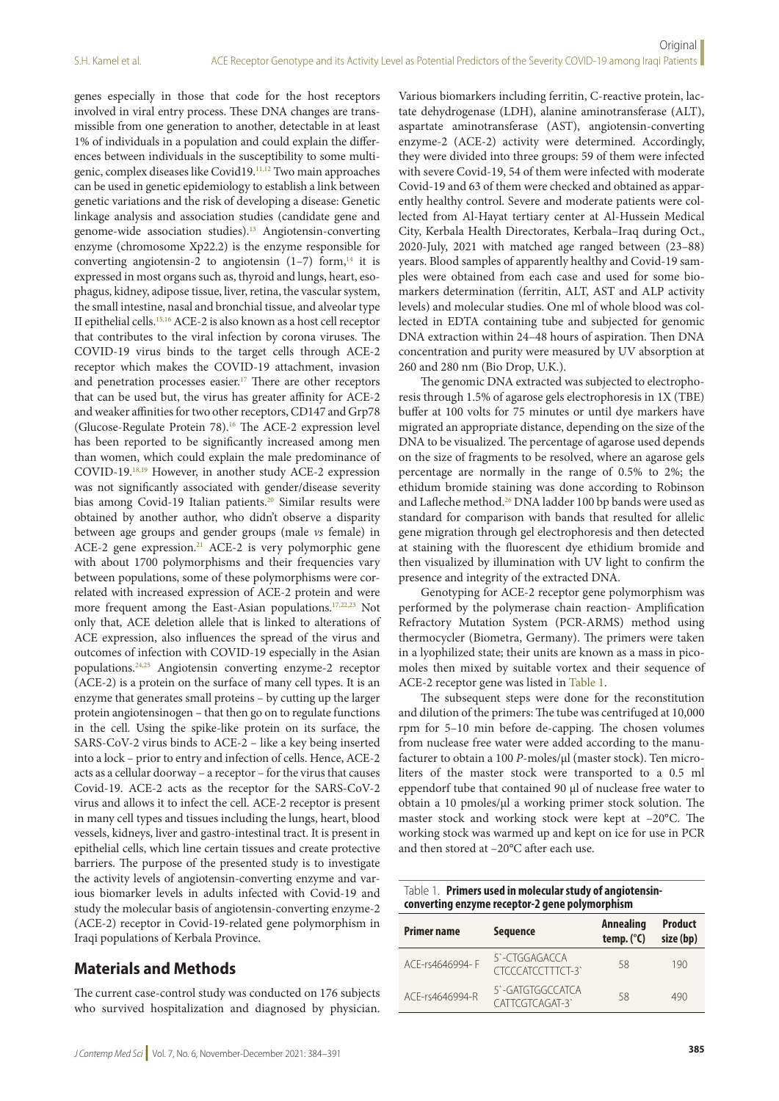genes especially in those that code for the host receptors involved in viral entry process. These DNA changes are transmissible from one generation to another, detectable in at least 1% of individuals in a population and could explain the differences between individuals in the susceptibility to some multigenic, complex diseases like Covid19.11,12 Two main approaches can be used in genetic epidemiology to establish a link between genetic variations and the risk of developing a disease: Genetic linkage analysis and association studies (candidate gene and genome-wide association studies).13 Angiotensin-converting enzyme (chromosome Xp22.2) is the enzyme responsible for converting angiotensin-2 to angiotensin  $(1-7)$  form,<sup>14</sup> it is expressed in most organs such as, thyroid and lungs, heart, esophagus, kidney, adipose tissue, liver, retina, the vascular system, the small intestine, nasal and bronchial tissue, and alveolar type II epithelial cells.15,16 ACE-2 is also known as a host cell receptor that contributes to the viral infection by corona viruses. The COVID-19 virus binds to the target cells through ACE-2 receptor which makes the COVID-19 attachment, invasion and penetration processes easier.<sup>17</sup> There are other receptors that can be used but, the virus has greater affinity for ACE-2 and weaker affinities for two other receptors, CD147 and Grp78 (Glucose-Regulate Protein 78).16 The ACE-2 expression level has been reported to be significantly increased among men than women, which could explain the male predominance of COVID-19.18,19 However, in another study ACE-2 expression was not significantly associated with gender/disease severity bias among Covid-19 Italian patients.<sup>20</sup> Similar results were obtained by another author, who didn't observe a disparity between age groups and gender groups (male *vs* female) in ACE-2 gene expression.<sup>21</sup> ACE-2 is very polymorphic gene with about 1700 polymorphisms and their frequencies vary between populations, some of these polymorphisms were correlated with increased expression of ACE-2 protein and were more frequent among the East-Asian populations.17,22,23 Not only that, ACE deletion allele that is linked to alterations of ACE expression, also influences the spread of the virus and outcomes of infection with COVID-19 especially in the Asian populations.24,25 Angiotensin converting enzyme-2 receptor (ACE-2) is a protein on the surface of many cell types. It is an enzyme that generates small proteins – by cutting up the larger protein angiotensinogen – that then go on to regulate functions in the cell. Using the spike-like protein on its surface, the SARS-CoV-2 virus binds to ACE-2 – like a key being inserted into a lock – prior to entry and infection of cells. Hence, ACE-2 acts as a cellular doorway – a receptor – for the virus that causes Covid-19. ACE-2 acts as the receptor for the SARS-CoV-2 virus and allows it to infect the cell. ACE-2 receptor is present in many cell types and tissues including the lungs, heart, blood vessels, kidneys, liver and gastro-intestinal tract. It is present in epithelial cells, which line certain tissues and create protective barriers. The purpose of the presented study is to investigate the activity levels of angiotensin-converting enzyme and various biomarker levels in adults infected with Covid-19 and study the molecular basis of angiotensin-converting enzyme-2 (ACE-2) receptor in Covid-19-related gene polymorphism in Iraqi populations of Kerbala Province.

## **Materials and Methods**

The current case-control study was conducted on 176 subjects who survived hospitalization and diagnosed by physician.

Various biomarkers including ferritin, C-reactive protein, lactate dehydrogenase (LDH), alanine aminotransferase (ALT), aspartate aminotransferase (AST), angiotensin-converting enzyme-2 (ACE-2) activity were determined. Accordingly, they were divided into three groups: 59 of them were infected with severe Covid-19, 54 of them were infected with moderate Covid-19 and 63 of them were checked and obtained as apparently healthy control. Severe and moderate patients were collected from Al-Hayat tertiary center at Al-Hussein Medical City, Kerbala Health Directorates, Kerbala–Iraq during Oct., 2020-July, 2021 with matched age ranged between (23–88) years. Blood samples of apparently healthy and Covid-19 samples were obtained from each case and used for some biomarkers determination (ferritin, ALT, AST and ALP activity levels) and molecular studies. One ml of whole blood was collected in EDTA containing tube and subjected for genomic DNA extraction within 24–48 hours of aspiration. Then DNA concentration and purity were measured by UV absorption at 260 and 280 nm (Bio Drop, U.K.).

The genomic DNA extracted was subjected to electrophoresis through 1.5% of agarose gels electrophoresis in 1X (TBE) buffer at 100 volts for 75 minutes or until dye markers have migrated an appropriate distance, depending on the size of the DNA to be visualized. The percentage of agarose used depends on the size of fragments to be resolved, where an agarose gels percentage are normally in the range of 0.5% to 2%; the ethidum bromide staining was done according to Robinson and Lafleche method.<sup>26</sup> DNA ladder 100 bp bands were used as standard for comparison with bands that resulted for allelic gene migration through gel electrophoresis and then detected at staining with the fluorescent dye ethidium bromide and then visualized by illumination with UV light to confirm the presence and integrity of the extracted DNA.

Genotyping for ACE-2 receptor gene polymorphism was performed by the polymerase chain reaction- Amplification Refractory Mutation System (PCR-ARMS) method using thermocycler (Biometra, Germany). The primers were taken in a lyophilized state; their units are known as a mass in picomoles then mixed by suitable vortex and their sequence of ACE-2 receptor gene was listed in Table 1.

The subsequent steps were done for the reconstitution and dilution of the primers: The tube was centrifuged at 10,000 rpm for 5–10 min before de-capping. The chosen volumes from nuclease free water were added according to the manufacturer to obtain a 100 *P*-moles/μl (master stock). Ten microliters of the master stock were transported to a 0.5 ml eppendorf tube that contained 90 μl of nuclease free water to obtain a 10 pmoles/μl a working primer stock solution. The master stock and working stock were kept at –20°C. The working stock was warmed up and kept on ice for use in PCR and then stored at –20°C after each use.

Table 1. **Primers used in molecular study of angiotensinconverting enzyme receptor-2 gene polymorphism**

| <b>Primer name</b> | <b>Sequence</b>                    | <b>Annealing</b><br>temp. $(^{\circ}C)$ | <b>Product</b><br>size (bp) |
|--------------------|------------------------------------|-----------------------------------------|-----------------------------|
| ACE-rs4646994-F    | 5'-CTGGAGACCA<br>CTCCCATCCTTTCT-3  | 58                                      | 190                         |
| ACE-rs4646994-R    | 5'-GATGTGGCCATCA<br>CATTCGTCAGAT-3 | 58                                      | 490                         |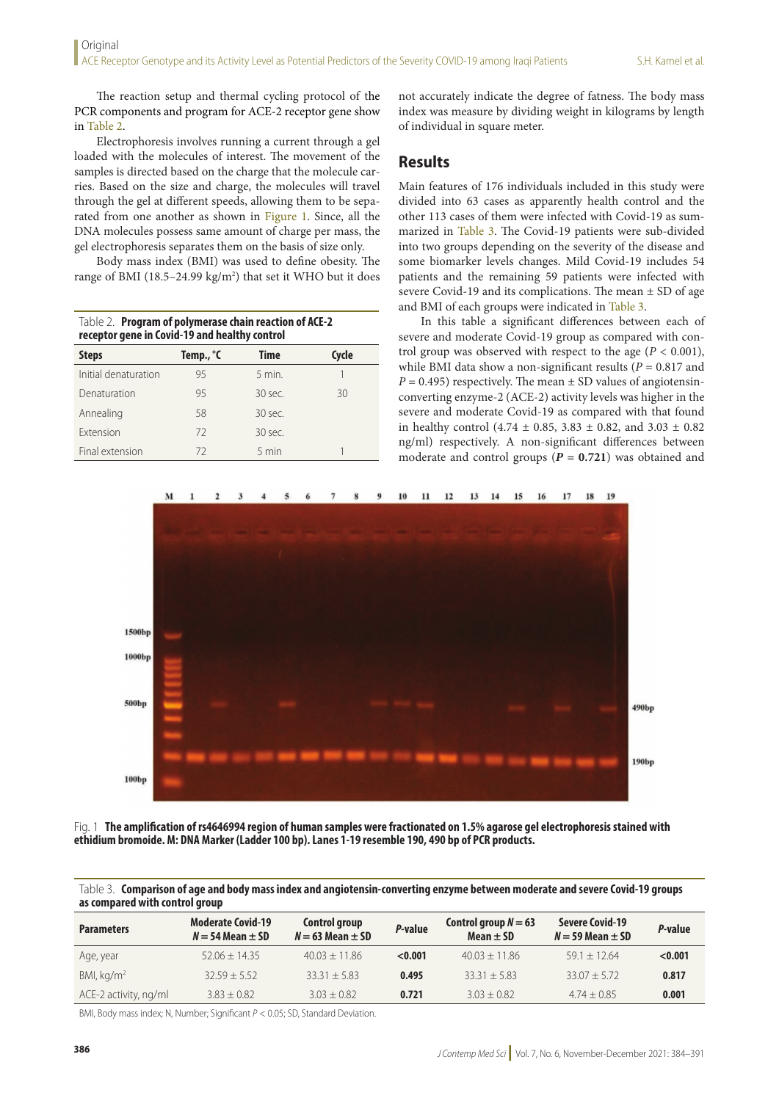The reaction setup and thermal cycling protocol of the PCR components and program for ACE-2 receptor gene show in Table 2.

Electrophoresis involves running a current through a gel loaded with the molecules of interest. The movement of the samples is directed based on the charge that the molecule carries. Based on the size and charge, the molecules will travel through the gel at different speeds, allowing them to be separated from one another as shown in Figure 1. Since, all the DNA molecules possess same amount of charge per mass, the gel electrophoresis separates them on the basis of size only.

Body mass index (BMI) was used to define obesity. The range of BMI  $(18.5-24.99 \text{ kg/m}^2)$  that set it WHO but it does

Table 2. **Program of polymerase chain reaction of ACE-2 receptor gene in Covid-19 and healthy control**

| <b>Steps</b>         | Temp., °C | <b>Time</b>     | Cycle |
|----------------------|-----------|-----------------|-------|
| Initial denaturation | 95        | $5$ min.        |       |
| Denaturation         | 95        | $30$ sec.       | 30    |
| Annealing            | 58        | $30$ sec.       |       |
| <b>Extension</b>     | 72        | $30$ sec.       |       |
| Final extension      | 72        | $5 \text{ min}$ |       |

not accurately indicate the degree of fatness. The body mass index was measure by dividing weight in kilograms by length of individual in square meter.

## **Results**

Main features of 176 individuals included in this study were divided into 63 cases as apparently health control and the other 113 cases of them were infected with Covid-19 as summarized in Table 3. The Covid-19 patients were sub-divided into two groups depending on the severity of the disease and some biomarker levels changes. Mild Covid-19 includes 54 patients and the remaining 59 patients were infected with severe Covid-19 and its complications. The mean ± SD of age and BMI of each groups were indicated in Table 3.

In this table a significant differences between each of severe and moderate Covid-19 group as compared with control group was observed with respect to the age  $(P < 0.001)$ , while BMI data show a non-significant results ( $P = 0.817$  and  $P = 0.495$  respectively. The mean  $\pm$  SD values of angiotensinconverting enzyme-2 (ACE-2) activity levels was higher in the severe and moderate Covid-19 as compared with that found in healthy control (4.74 ± 0.85, 3.83 ± 0.82, and 3.03 ± 0.82 ng/ml) respectively. A non-significant differences between moderate and control groups  $(P = 0.721)$  was obtained and



Fig. 1 **The amplification of rs4646994 region of human samples were fractionated on 1.5% agarose gel electrophoresis stained with ethidium bromoide. M: DNA Marker (Ladder 100 bp). Lanes 1-19 resemble 190, 490 bp of PCR products.**

Table 3. **Comparison of age and body mass index and angiotensin-converting enzyme between moderate and severe Covid-19 groups as compared with control group**

| <b>Parameters</b>      | <b>Moderate Covid-19</b><br>$N = 54$ Mean $\pm$ SD | Control group<br>$N = 63$ Mean $\pm$ SD | P-value | Control group $N = 63$<br>Mean $\pm$ SD | <b>Severe Covid-19</b><br>$N = 59$ Mean $\pm$ SD | P-value |
|------------------------|----------------------------------------------------|-----------------------------------------|---------|-----------------------------------------|--------------------------------------------------|---------|
| Age, year              | $52.06 + 14.35$                                    | $40.03 + 11.86$                         | < 0.001 | $40.03 + 11.86$                         | $59.1 + 12.64$                                   | < 0.001 |
| BMI, kq/m <sup>2</sup> | $32.59 + 5.52$                                     | $33.31 + 5.83$                          | 0.495   | $33.31 + 5.83$                          | $33.07 + 5.72$                                   | 0.817   |
| ACE-2 activity, ng/ml  | $3.83 + 0.82$                                      | $3.03 + 0.82$                           | 0.721   | $3.03 + 0.82$                           | $4.74 + 0.85$                                    | 0.001   |

BMI, Body mass index; N, Number; Significant *P* < 0.05; SD, Standard Deviation.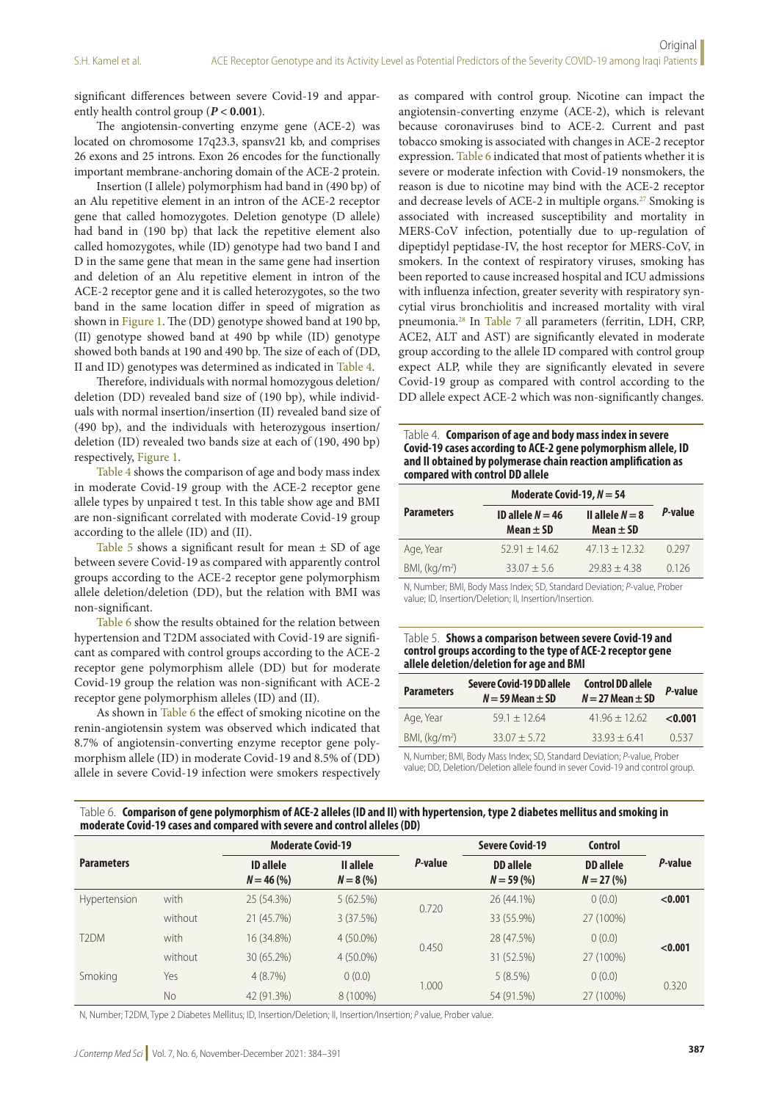significant differences between severe Covid-19 and apparently health control group  $(P < 0.001)$ .

The angiotensin-converting enzyme gene (ACE-2) was located on chromosome 17q23.3, spansv21 kb, and comprises 26 exons and 25 introns. Exon 26 encodes for the functionally important membrane-anchoring domain of the ACE-2 protein.

Insertion (I allele) polymorphism had band in (490 bp) of an Alu repetitive element in an intron of the ACE-2 receptor gene that called homozygotes. Deletion genotype (D allele) had band in (190 bp) that lack the repetitive element also called homozygotes, while (ID) genotype had two band I and D in the same gene that mean in the same gene had insertion and deletion of an Alu repetitive element in intron of the ACE-2 receptor gene and it is called heterozygotes, so the two band in the same location differ in speed of migration as shown in Figure 1. The (DD) genotype showed band at 190 bp, (II) genotype showed band at 490 bp while (ID) genotype showed both bands at 190 and 490 bp. The size of each of (DD, II and ID) genotypes was determined as indicated in Table 4.

Therefore, individuals with normal homozygous deletion/ deletion (DD) revealed band size of (190 bp), while individuals with normal insertion/insertion (II) revealed band size of (490 bp), and the individuals with heterozygous insertion/ deletion (ID) revealed two bands size at each of (190, 490 bp) respectively, Figure 1.

Table 4 shows the comparison of age and body mass index in moderate Covid-19 group with the ACE-2 receptor gene allele types by unpaired t test. In this table show age and BMI are non-significant correlated with moderate Covid-19 group according to the allele (ID) and (II).

Table 5 shows a significant result for mean  $\pm$  SD of age between severe Covid-19 as compared with apparently control groups according to the ACE-2 receptor gene polymorphism allele deletion/deletion (DD), but the relation with BMI was non-significant.

Table 6 show the results obtained for the relation between hypertension and T2DM associated with Covid-19 are significant as compared with control groups according to the ACE-2 receptor gene polymorphism allele (DD) but for moderate Covid-19 group the relation was non-significant with ACE-2 receptor gene polymorphism alleles (ID) and (II).

As shown in Table 6 the effect of smoking nicotine on the renin-angiotensin system was observed which indicated that 8.7% of angiotensin-converting enzyme receptor gene polymorphism allele (ID) in moderate Covid-19 and 8.5% of (DD) allele in severe Covid-19 infection were smokers respectively as compared with control group. Nicotine can impact the angiotensin-converting enzyme (ACE-2), which is relevant because coronaviruses bind to ACE-2. Current and past tobacco smoking is associated with changes in ACE-2 receptor expression. Table 6 indicated that most of patients whether it is severe or moderate infection with Covid-19 nonsmokers, the reason is due to nicotine may bind with the ACE-2 receptor and decrease levels of ACE-2 in multiple organs.<sup>27</sup> Smoking is associated with increased susceptibility and mortality in MERS‐CoV infection, potentially due to up-regulation of dipeptidyl peptidase‐IV, the host receptor for MERS‐CoV, in smokers. In the context of respiratory viruses, smoking has been reported to cause increased hospital and ICU admissions with influenza infection, greater severity with respiratory syncytial virus bronchiolitis and increased mortality with viral pneumonia.28 In Table 7 all parameters (ferritin, LDH, CRP, ACE2, ALT and AST) are significantly elevated in moderate group according to the allele ID compared with control group expect ALP, while they are significantly elevated in severe Covid-19 group as compared with control according to the DD allele expect ACE-2 which was non-significantly changes.

| Table 4. <b>Comparison of age and body mass index in severe</b> |
|-----------------------------------------------------------------|
| Covid-19 cases according to ACE-2 gene polymorphism allele, ID  |
| and II obtained by polymerase chain reaction amplification as   |
| compared with control DD allele                                 |

|                           | Moderate Covid-19, $N = 54$                                               |                 |         |  |
|---------------------------|---------------------------------------------------------------------------|-----------------|---------|--|
| <b>Parameters</b>         | II allele $N = 8$<br>ID allele $N = 46$<br>Mean $\pm$ SD<br>Mean $\pm$ SD |                 | P-value |  |
| Age, Year                 | $52.91 + 14.62$                                                           | $47.13 + 12.32$ | 0.297   |  |
| BMI, (kg/m <sup>2</sup> ) | $33.07 + 5.6$                                                             | $7983 + 438$    | 0.126   |  |

N, Number; BMI, Body Mass Index; SD, Standard Deviation; *P*-value, Prober value; ID, Insertion/Deletion; II, Insertion/Insertion.

#### Table 5. **Shows a comparison between severe Covid-19 and control groups according to the type of ACE-2 receptor gene allele deletion/deletion for age and BMI**

| <b>Parameters</b>         | Severe Covid-19 DD allele<br>$N = 59$ Mean $\pm$ SD | <b>Control DD allele</b><br>$N = 27$ Mean $\pm$ SD | P-value |
|---------------------------|-----------------------------------------------------|----------------------------------------------------|---------|
| Age, Year                 | $59.1 + 12.64$                                      | $41.96 + 12.62$                                    | < 0.001 |
| BMI, (kq/m <sup>2</sup> ) | $33.07 + 5.72$                                      | $3393 + 641$                                       | 0537    |

N, Number; BMI, Body Mass Index; SD, Standard Deviation; *P*-value, Prober value; DD, Deletion/Deletion allele found in sever Covid-19 and control group.

| <code>Table</code> 6. $\,$ Comparison of gene polymorphism of ACE-2 alleles (ID and II) with hypertension, type 2 diabetes mellitus and smoking in |  |
|----------------------------------------------------------------------------------------------------------------------------------------------------|--|
| moderate Covid-19 cases and compared with severe and control alleles (DD)                                                                          |  |

|                   |         | <b>Moderate Covid-19</b>         |                          |         | <b>Severe Covid-19</b>          | <b>Control</b>                  |         |
|-------------------|---------|----------------------------------|--------------------------|---------|---------------------------------|---------------------------------|---------|
| <b>Parameters</b> |         | <b>ID</b> allele<br>$N = 46$ (%) | II allele<br>$N = 8$ (%) | P-value | <b>DD</b> allele<br>$N = 59(%)$ | <b>DD</b> allele<br>$N = 27(%)$ | P-value |
| Hypertension      | with    | 25 (54.3%)                       | 5(62.5%)                 | 0.720   | 26 (44.1%)                      | 0(0.0)                          | < 0.001 |
|                   | without | 21 (45.7%)                       | 3(37.5%)                 |         | 33 (55.9%)                      | 27 (100%)                       |         |
| T <sub>2</sub> DM | with    | 16 (34.8%)                       | $4(50.0\%)$              |         | 28 (47.5%)                      | 0(0.0)                          |         |
|                   | without | 30 (65.2%)                       | $4(50.0\%)$              | 0.450   | 31 (52.5%)                      | 27 (100%)                       | < 0.001 |
| Smoking           | Yes     | 4(8.7%)                          | 0(0.0)                   |         | 5(8.5%)                         | 0(0.0)                          |         |
|                   | No.     | 42 (91.3%)                       | 8 (100%)                 | 1.000   | 54 (91.5%)                      | 27 (100%)                       | 0.320   |

N, Number; T2DM, Type 2 Diabetes Mellitus; ID, Insertion/Deletion; II, Insertion/Insertion; *P* value, Prober value.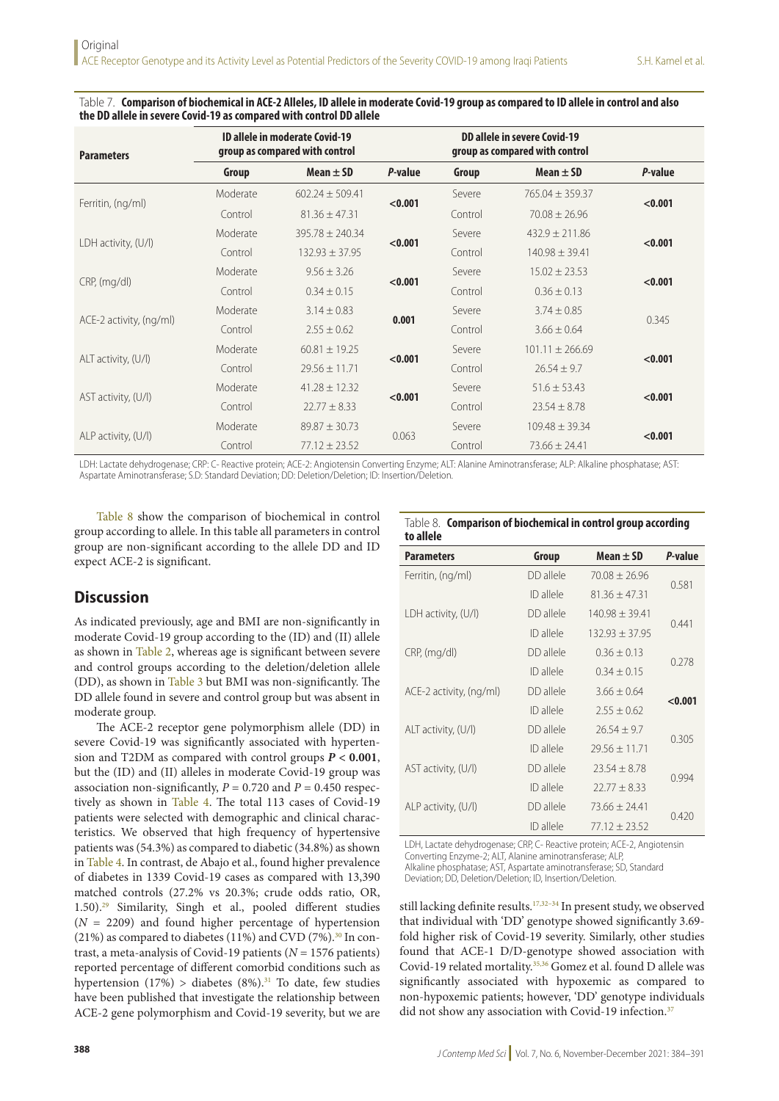| Table 7. Comparison of biochemical in ACE-2 Alleles, ID allele in moderate Covid-19 group as compared to ID allele in control and also |
|----------------------------------------------------------------------------------------------------------------------------------------|
| the DD allele in severe Covid-19 as compared with control DD allele                                                                    |

| <b>Parameters</b>       |          | ID allele in moderate Covid-19<br>group as compared with control |         |         | DD allele in severe Covid-19<br>group as compared with control |         |
|-------------------------|----------|------------------------------------------------------------------|---------|---------|----------------------------------------------------------------|---------|
|                         | Group    | $Mean \pm SD$                                                    | P-value | Group   | Mean $\pm$ SD                                                  | P-value |
|                         | Moderate | $602.24 \pm 509.41$                                              | < 0.001 | Severe  | $765.04 \pm 359.37$                                            | < 0.001 |
| Ferritin, (ng/ml)       | Control  | $81.36 + 47.31$                                                  |         | Control | $70.08 \pm 26.96$                                              |         |
|                         | Moderate | $395.78 \pm 240.34$                                              | < 0.001 | Severe  | $432.9 \pm 211.86$                                             | < 0.001 |
| LDH activity, (U/I)     | Control  | $132.93 + 37.95$                                                 |         | Control | $140.98 \pm 39.41$                                             |         |
|                         | Moderate | $9.56 + 3.26$                                                    | < 0.001 | Severe  | $15.02 \pm 23.53$                                              | < 0.001 |
| CRP, (mq/dl)            | Control  | $0.34 + 0.15$                                                    |         | Control | $0.36 + 0.13$                                                  |         |
| ACE-2 activity, (ng/ml) | Moderate | $3.14 \pm 0.83$                                                  | 0.001   | Severe  | $3.74 \pm 0.85$                                                | 0.345   |
|                         | Control  | $2.55 \pm 0.62$                                                  |         | Control | $3.66 \pm 0.64$                                                |         |
| ALT activity, (U/I)     | Moderate | $60.81 \pm 19.25$                                                | < 0.001 | Severe  | $101.11 \pm 266.69$                                            | < 0.001 |
|                         | Control  | $29.56 \pm 11.71$                                                |         | Control | $26.54 \pm 9.7$                                                |         |
|                         | Moderate | $41.28 \pm 12.32$                                                | < 0.001 | Severe  | $51.6 \pm 53.43$                                               | < 0.001 |
| AST activity, (U/I)     | Control  | $22.77 \pm 8.33$                                                 |         | Control | $23.54 \pm 8.78$                                               |         |
| ALP activity, $(U/$ )   | Moderate | $89.87 \pm 30.73$                                                | 0.063   | Severe  | $109.48 \pm 39.34$                                             | < 0.001 |
|                         | Control  | $77.12 \pm 23.52$                                                |         | Control | $73.66 \pm 24.41$                                              |         |

LDH: Lactate dehydrogenase; CRP: C- Reactive protein; ACE-2: Angiotensin Converting Enzyme; ALT: Alanine Aminotransferase; ALP: Alkaline phosphatase; AST: Aspartate Aminotransferase; S.D: Standard Deviation; DD: Deletion/Deletion; ID: Insertion/Deletion.

Table 8 show the comparison of biochemical in control group according to allele. In this table all parameters in control group are non-significant according to the allele DD and ID expect ACE-2 is significant.

## **Discussion**

As indicated previously, age and BMI are non-significantly in moderate Covid-19 group according to the (ID) and (II) allele as shown in Table 2, whereas age is significant between severe and control groups according to the deletion/deletion allele (DD), as shown in Table 3 but BMI was non-significantly. The DD allele found in severe and control group but was absent in moderate group.

The ACE-2 receptor gene polymorphism allele (DD) in severe Covid-19 was significantly associated with hypertension and T2DM as compared with control groups *P* **< 0.001**, but the (ID) and (II) alleles in moderate Covid-19 group was association non-significantly,  $P = 0.720$  and  $P = 0.450$  respectively as shown in Table 4. The total 113 cases of Covid-19 patients were selected with demographic and clinical characteristics. We observed that high frequency of hypertensive patients was (54.3%) as compared to diabetic (34.8%) as shown in Table 4. In contrast, de Abajo et al., found higher prevalence of diabetes in 1339 Covid-19 cases as compared with 13,390 matched controls (27.2% vs 20.3%; crude odds ratio, OR, 1.50).29 Similarity, Singh et al., pooled different studies (*N* = 2209) and found higher percentage of hypertension (21%) as compared to diabetes (11%) and CVD (7%). $30$  In contrast, a meta-analysis of Covid-19 patients (*N* = 1576 patients) reported percentage of different comorbid conditions such as hypertension (17%) > diabetes (8%).<sup>31</sup> To date, few studies have been published that investigate the relationship between ACE-2 gene polymorphism and Covid-19 severity, but we are

|           | Table 8. Comparison of biochemical in control group according |
|-----------|---------------------------------------------------------------|
| to allele |                                                               |

| <b>Parameters</b>       | Group     | Mean $\pm$ SD      | P-value |  |
|-------------------------|-----------|--------------------|---------|--|
| Ferritin, (ng/ml)       | DD allele | $70.08 \pm 26.96$  |         |  |
|                         | ID allele | $81.36 + 47.31$    | 0.581   |  |
| LDH activity, (U/l)     | DD allele | $140.98 \pm 39.41$ |         |  |
|                         | ID allele | $132.93 \pm 37.95$ | 0.441   |  |
| CRP, (mg/dl)            | DD allele | $0.36 \pm 0.13$    |         |  |
|                         | ID allele | $0.34 + 0.15$      | 0.278   |  |
| ACE-2 activity, (ng/ml) | DD allele | $3.66 \pm 0.64$    |         |  |
|                         | ID allele | $2.55 \pm 0.62$    | < 0.001 |  |
| ALT activity, (U/I)     | DD allele | $26.54 + 9.7$      | 0.305   |  |
|                         | ID allele | $29.56 + 11.71$    |         |  |
| AST activity, (U/l)     | DD allele | $23.54 + 8.78$     |         |  |
|                         | ID allele | $22.77 + 8.33$     | 0.994   |  |
| ALP activity, (U/I)     | DD allele | $73.66 + 24.41$    |         |  |
|                         | ID allele | $77.12 + 23.52$    | 0.420   |  |

LDH, Lactate dehydrogenase; CRP, C- Reactive protein; ACE-2, Angiotensin Converting Enzyme-2; ALT, Alanine aminotransferase; ALP,

Alkaline phosphatase; AST, Aspartate aminotransferase; SD, Standard

Deviation; DD, Deletion/Deletion; ID, Insertion/Deletion.

still lacking definite results.17,32–34 In present study, we observed that individual with 'DD' genotype showed significantly 3.69 fold higher risk of Covid-19 severity. Similarly, other studies found that ACE-1 D/D-genotype showed association with Covid-19 related mortality.35,36 Gomez et al. found D allele was significantly associated with hypoxemic as compared to non-hypoxemic patients; however, 'DD' genotype individuals did not show any association with Covid-19 infection.<sup>37</sup>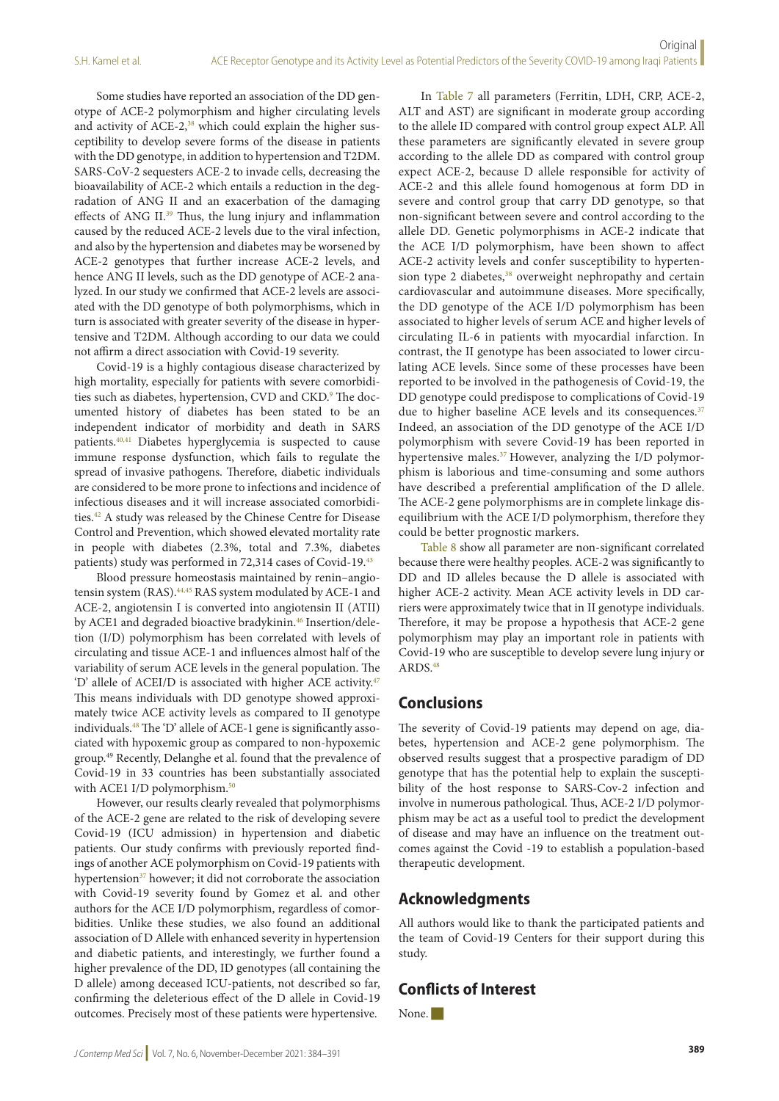Some studies have reported an association of the DD genotype of ACE-2 polymorphism and higher circulating levels and activity of ACE-2, $38$  which could explain the higher susceptibility to develop severe forms of the disease in patients with the DD genotype, in addition to hypertension and T2DM. SARS-CoV-2 sequesters ACE-2 to invade cells, decreasing the bioavailability of ACE-2 which entails a reduction in the degradation of ANG II and an exacerbation of the damaging effects of ANG II.<sup>39</sup> Thus, the lung injury and inflammation caused by the reduced ACE-2 levels due to the viral infection, and also by the hypertension and diabetes may be worsened by ACE-2 genotypes that further increase ACE-2 levels, and hence ANG II levels, such as the DD genotype of ACE-2 analyzed. In our study we confirmed that ACE-2 levels are associated with the DD genotype of both polymorphisms, which in turn is associated with greater severity of the disease in hypertensive and T2DM. Although according to our data we could not affirm a direct association with Covid-19 severity.

Covid-19 is a highly contagious disease characterized by high mortality, especially for patients with severe comorbidities such as diabetes, hypertension, CVD and CKD.<sup>9</sup> The documented history of diabetes has been stated to be an independent indicator of morbidity and death in SARS patients.40,41 Diabetes hyperglycemia is suspected to cause immune response dysfunction, which fails to regulate the spread of invasive pathogens. Therefore, diabetic individuals are considered to be more prone to infections and incidence of infectious diseases and it will increase associated comorbidities.42 A study was released by the Chinese Centre for Disease Control and Prevention, which showed elevated mortality rate in people with diabetes (2.3%, total and 7.3%, diabetes patients) study was performed in 72,314 cases of Covid-19.43

Blood pressure homeostasis maintained by renin–angiotensin system (RAS).44,45 RAS system modulated by ACE-1 and ACE-2, angiotensin I is converted into angiotensin II (ATII) by ACE1 and degraded bioactive bradykinin.<sup>46</sup> Insertion/deletion (I/D) polymorphism has been correlated with levels of circulating and tissue ACE-1 and influences almost half of the variability of serum ACE levels in the general population. The 'D' allele of ACEI/D is associated with higher ACE activity.<sup>47</sup> This means individuals with DD genotype showed approximately twice ACE activity levels as compared to II genotype individuals.48 The 'D' allele of ACE-1 gene is significantly associated with hypoxemic group as compared to non-hypoxemic group.49 Recently, Delanghe et al. found that the prevalence of Covid-19 in 33 countries has been substantially associated with ACE1 I/D polymorphism.<sup>50</sup>

However, our results clearly revealed that polymorphisms of the ACE-2 gene are related to the risk of developing severe Covid-19 (ICU admission) in hypertension and diabetic patients. Our study confirms with previously reported findings of another ACE polymorphism on Covid-19 patients with hypertension<sup>37</sup> however; it did not corroborate the association with Covid-19 severity found by Gomez et al. and other authors for the ACE I/D polymorphism, regardless of comorbidities. Unlike these studies, we also found an additional association of D Allele with enhanced severity in hypertension and diabetic patients, and interestingly, we further found a higher prevalence of the DD, ID genotypes (all containing the D allele) among deceased ICU-patients, not described so far, confirming the deleterious effect of the D allele in Covid-19 outcomes. Precisely most of these patients were hypertensive.

In Table 7 all parameters (Ferritin, LDH, CRP, ACE-2, ALT and AST) are significant in moderate group according to the allele ID compared with control group expect ALP. All these parameters are significantly elevated in severe group according to the allele DD as compared with control group expect ACE-2, because D allele responsible for activity of ACE-2 and this allele found homogenous at form DD in severe and control group that carry DD genotype, so that non-significant between severe and control according to the allele DD. Genetic polymorphisms in ACE-2 indicate that the ACE I/D polymorphism, have been shown to affect ACE-2 activity levels and confer susceptibility to hypertension type 2 diabetes,<sup>38</sup> overweight nephropathy and certain cardiovascular and autoimmune diseases. More specifically, the DD genotype of the ACE I/D polymorphism has been associated to higher levels of serum ACE and higher levels of circulating IL-6 in patients with myocardial infarction. In contrast, the II genotype has been associated to lower circulating ACE levels. Since some of these processes have been reported to be involved in the pathogenesis of Covid-19, the DD genotype could predispose to complications of Covid-19 due to higher baseline ACE levels and its consequences.<sup>37</sup> Indeed, an association of the DD genotype of the ACE I/D polymorphism with severe Covid-19 has been reported in hypertensive males.<sup>37</sup> However, analyzing the I/D polymorphism is laborious and time-consuming and some authors have described a preferential amplification of the D allele. The ACE-2 gene polymorphisms are in complete linkage disequilibrium with the ACE I/D polymorphism, therefore they could be better prognostic markers.

Table 8 show all parameter are non-significant correlated because there were healthy peoples. ACE-2 was significantly to DD and ID alleles because the D allele is associated with higher ACE-2 activity. Mean ACE activity levels in DD carriers were approximately twice that in II genotype individuals. Therefore, it may be propose a hypothesis that ACE-2 gene polymorphism may play an important role in patients with Covid-19 who are susceptible to develop severe lung injury or ARDS.48

## **Conclusions**

The severity of Covid-19 patients may depend on age, diabetes, hypertension and ACE-2 gene polymorphism. The observed results suggest that a prospective paradigm of DD genotype that has the potential help to explain the susceptibility of the host response to SARS-Cov-2 infection and involve in numerous pathological. Thus, ACE-2 I/D polymorphism may be act as a useful tool to predict the development of disease and may have an influence on the treatment outcomes against the Covid -19 to establish a population-based therapeutic development.

## **Acknowledgments**

All authors would like to thank the participated patients and the team of Covid-19 Centers for their support during this study.

## **Conflicts of Interest**

None.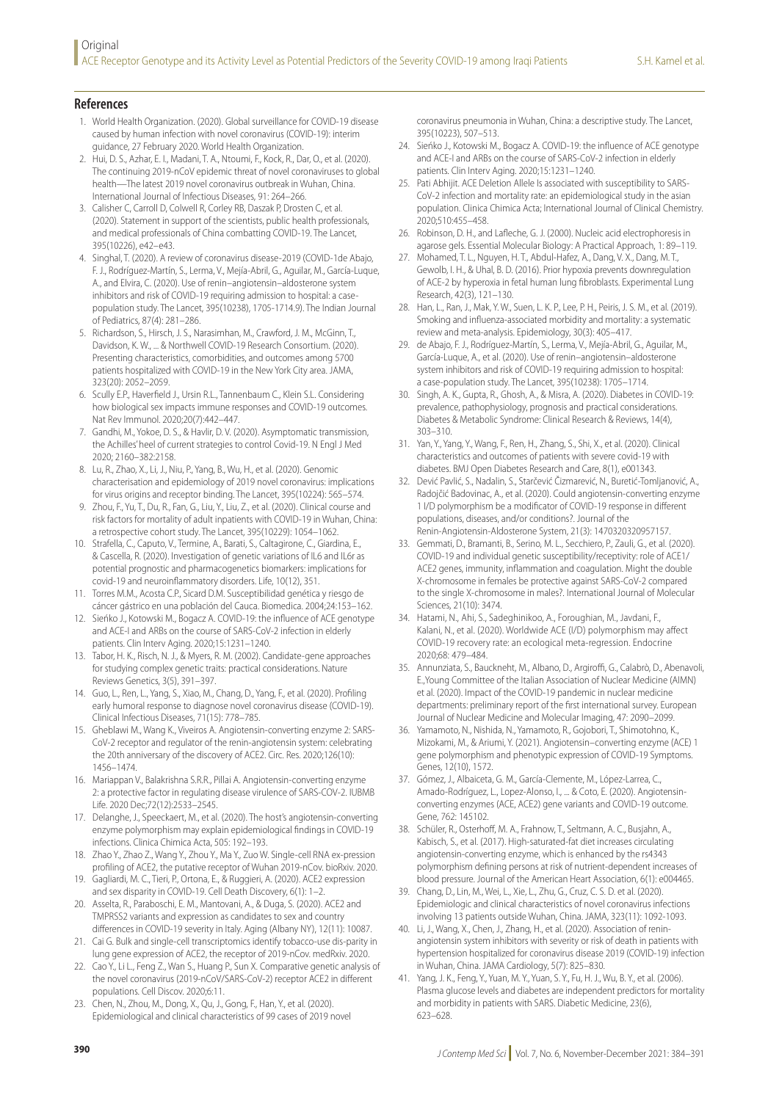#### **References**

- 1. World Health Organization. (2020). Global surveillance for COVID-19 disease caused by human infection with novel coronavirus (COVID-19): interim guidance, 27 February 2020. World Health Organization.
- 2. Hui, D. S., Azhar, E. I., Madani, T. A., Ntoumi, F., Kock, R., Dar, O., et al. (2020). The continuing 2019-nCoV epidemic threat of novel coronaviruses to global health—The latest 2019 novel coronavirus outbreak in Wuhan, China. International Journal of Infectious Diseases, 91: 264–266.
- 3. Calisher C, Carroll D, Colwell R, Corley RB, Daszak P, Drosten C, et al. (2020). Statement in support of the scientists, public health professionals, and medical professionals of China combatting COVID-19. The Lancet, 395(10226), e42–e43.
- 4. Singhal, T. (2020). A review of coronavirus disease-2019 (COVID-1de Abajo, F. J., Rodríguez-Martín, S., Lerma, V., Mejía-Abril, G., Aguilar, M., García-Luque, A., and Elvira, C. (2020). Use of renin–angiotensin–aldosterone system inhibitors and risk of COVID-19 requiring admission to hospital: a casepopulation study. The Lancet, 395(10238), 1705-1714.9). The Indian Journal of Pediatrics, 87(4): 281–286.
- 5. Richardson, S., Hirsch, J. S., Narasimhan, M., Crawford, J. M., McGinn, T., Davidson, K. W., ... & Northwell COVID-19 Research Consortium. (2020). Presenting characteristics, comorbidities, and outcomes among 5700 patients hospitalized with COVID-19 in the New York City area. JAMA, 323(20): 2052–2059.
- 6. Scully E.P., Haverfield J., Ursin R.L., Tannenbaum C., Klein S.L. Considering how biological sex impacts immune responses and COVID-19 outcomes. Nat Rev Immunol. 2020;20(7):442–447.
- 7. Gandhi, M., Yokoe, D. S., & Havlir, D. V. (2020). Asymptomatic transmission, the Achilles' heel of current strategies to control Covid-19. N Engl J Med 2020; 2160–382:2158.
- 8. Lu, R., Zhao, X., Li, J., Niu, P., Yang, B., Wu, H., et al. (2020). Genomic characterisation and epidemiology of 2019 novel coronavirus: implications for virus origins and receptor binding. The Lancet, 395(10224): 565–574.
- 9. Zhou, F., Yu, T., Du, R., Fan, G., Liu, Y., Liu, Z., et al. (2020). Clinical course and risk factors for mortality of adult inpatients with COVID-19 in Wuhan, China: a retrospective cohort study. The Lancet, 395(10229): 1054–1062.
- 10. Strafella, C., Caputo, V., Termine, A., Barati, S., Caltagirone, C., Giardina, E., & Cascella, R. (2020). Investigation of genetic variations of IL6 and IL6r as potential prognostic and pharmacogenetics biomarkers: implications for covid-19 and neuroinflammatory disorders. Life, 10(12), 351.
- 11. Torres M.M., Acosta C.P., Sicard D.M. Susceptibilidad genética y riesgo de cáncer gástrico en una población del Cauca. Biomedica. 2004;24:153–162.
- 12. Sieńko J., Kotowski M., Bogacz A. COVID-19: the influence of ACE genotype and ACE-I and ARBs on the course of SARS-CoV-2 infection in elderly patients. Clin Interv Aging. 2020;15:1231–1240.
- 13. Tabor, H. K., Risch, N. J., & Myers, R. M. (2002). Candidate-gene approaches for studying complex genetic traits: practical considerations. Nature Reviews Genetics, 3(5), 391–397.
- 14. Guo, L., Ren, L., Yang, S., Xiao, M., Chang, D., Yang, F., et al. (2020). Profiling early humoral response to diagnose novel coronavirus disease (COVID-19). Clinical Infectious Diseases, 71(15): 778–785.
- 15. Gheblawi M., Wang K., Viveiros A. Angiotensin-converting enzyme 2: SARS-CoV-2 receptor and regulator of the renin-angiotensin system: celebrating the 20th anniversary of the discovery of ACE2. Circ. Res. 2020;126(10): 1456–1474.
- 16. Mariappan V., Balakrishna S.R.R., Pillai A. Angiotensin-converting enzyme 2: a protective factor in regulating disease virulence of SARS-COV-2. IUBMB Life. 2020 Dec;72(12):2533–2545.
- 17. Delanghe, J., Speeckaert, M., et al. (2020). The host's angiotensin-converting enzyme polymorphism may explain epidemiological findings in COVID-19 infections. Clinica Chimica Acta, 505: 192–193.
- 18. Zhao Y., Zhao Z., Wang Y., Zhou Y., Ma Y., Zuo W. Single-cell RNA ex-pression profiling of ACE2, the putative receptor of Wuhan 2019-nCov. bioRxiv. 2020.
- 19. Gagliardi, M. C., Tieri, P., Ortona, E., & Ruggieri, A. (2020). ACE2 expression and sex disparity in COVID-19. Cell Death Discovery, 6(1): 1–2.
- 20. Asselta, R., Paraboschi, E. M., Mantovani, A., & Duga, S. (2020). ACE2 and TMPRSS2 variants and expression as candidates to sex and country differences in COVID-19 severity in Italy. Aging (Albany NY), 12(11): 10087.
- 21. Cai G. Bulk and single-cell transcriptomics identify tobacco-use dis-parity in lung gene expression of ACE2, the receptor of 2019-nCov. medRxiv. 2020.
- 22. Cao Y., Li L., Feng Z., Wan S., Huang P., Sun X. Comparative genetic analysis of the novel coronavirus (2019-nCoV/SARS-CoV-2) receptor ACE2 in different populations. Cell Discov. 2020;6:11.
- 23. Chen, N., Zhou, M., Dong, X., Qu, J., Gong, F., Han, Y., et al. (2020). Epidemiological and clinical characteristics of 99 cases of 2019 novel

coronavirus pneumonia in Wuhan, China: a descriptive study. The Lancet, 395(10223), 507–513.

- 24. Sieńko J., Kotowski M., Bogacz A. COVID-19: the influence of ACE genotype and ACE-I and ARBs on the course of SARS-CoV-2 infection in elderly patients. Clin Interv Aging. 2020;15:1231–1240.
- 25. Pati Abhijit. ACE Deletion Allele Is associated with susceptibility to SARS-CoV-2 infection and mortality rate: an epidemiological study in the asian population. Clinica Chimica Acta; International Journal of Clinical Chemistry. 2020;510:455–458.
- 26. Robinson, D. H., and Lafleche, G. J. (2000). Nucleic acid electrophoresis in agarose gels. Essential Molecular Biology: A Practical Approach, 1: 89–119.
- 27. Mohamed, T. L., Nguyen, H. T., Abdul-Hafez, A., Dang, V. X., Dang, M. T., Gewolb, I. H., & Uhal, B. D. (2016). Prior hypoxia prevents downregulation of ACE-2 by hyperoxia in fetal human lung fibroblasts. Experimental Lung Research, 42(3), 121–130.
- 28. Han, L., Ran, J., Mak, Y. W., Suen, L. K. P., Lee, P. H., Peiris, J. S. M., et al. (2019). Smoking and influenza-associated morbidity and mortality: a systematic review and meta-analysis. Epidemiology, 30(3): 405–417.
- 29. de Abajo, F. J., Rodríguez-Martín, S., Lerma, V., Mejía-Abril, G., Aguilar, M., García-Luque, A., et al. (2020). Use of renin–angiotensin–aldosterone system inhibitors and risk of COVID-19 requiring admission to hospital: a case-population study. The Lancet, 395(10238): 1705–1714.
- 30. Singh, A. K., Gupta, R., Ghosh, A., & Misra, A. (2020). Diabetes in COVID-19: prevalence, pathophysiology, prognosis and practical considerations. Diabetes & Metabolic Syndrome: Clinical Research & Reviews, 14(4), 303–310.
- 31. Yan, Y., Yang, Y., Wang, F., Ren, H., Zhang, S., Shi, X., et al. (2020). Clinical characteristics and outcomes of patients with severe covid-19 with diabetes. BMJ Open Diabetes Research and Care, 8(1), e001343.
- 32. Dević Pavlić, S., Nadalin, S., Starčević Čizmarević, N., Buretić-Tomljanović, A., Radojčić Badovinac, A., et al. (2020). Could angiotensin-converting enzyme 1 I/D polymorphism be a modificator of COVID-19 response in different populations, diseases, and/or conditions?. Journal of the Renin-Angiotensin-Aldosterone System, 21(3): 1470320320957157.
- 33. Gemmati, D., Bramanti, B., Serino, M. L., Secchiero, P., Zauli, G., et al. (2020). COVID-19 and individual genetic susceptibility/receptivity: role of ACE1/ ACE2 genes, immunity, inflammation and coagulation. Might the double X-chromosome in females be protective against SARS-CoV-2 compared to the single X-chromosome in males?. International Journal of Molecular Sciences, 21(10): 3474.
- 34. Hatami, N., Ahi, S., Sadeghinikoo, A., Foroughian, M., Javdani, F., Kalani, N., et al. (2020). Worldwide ACE (I/D) polymorphism may affect COVID-19 recovery rate: an ecological meta-regression. Endocrine 2020;68: 479–484.
- 35. Annunziata, S., Bauckneht, M., Albano, D., Argiroffi, G., Calabrò, D., Abenavoli, E.,Young Committee of the Italian Association of Nuclear Medicine (AIMN) et al. (2020). Impact of the COVID-19 pandemic in nuclear medicine departments: preliminary report of the first international survey. European Journal of Nuclear Medicine and Molecular Imaging, 47: 2090–2099.
- 36. Yamamoto, N., Nishida, N., Yamamoto, R., Gojobori, T., Shimotohno, K., Mizokami, M., & Ariumi, Y. (2021). Angiotensin–converting enzyme (ACE) 1 gene polymorphism and phenotypic expression of COVID-19 Symptoms. Genes, 12(10), 1572.
- 37. Gómez, J., Albaiceta, G. M., García-Clemente, M., López-Larrea, C., Amado-Rodríguez, L., Lopez-Alonso, I., ... & Coto, E. (2020). Angiotensinconverting enzymes (ACE, ACE2) gene variants and COVID-19 outcome. Gene, 762: 145102.
- 38. Schüler, R., Osterhoff, M. A., Frahnow, T., Seltmann, A. C., Busjahn, A., Kabisch, S., et al. (2017). High‐saturated‐fat diet increases circulating angiotensin‐converting enzyme, which is enhanced by the rs4343 polymorphism defining persons at risk of nutrient‐dependent increases of blood pressure. Journal of the American Heart Association, 6(1): e004465.
- 39. Chang, D., Lin, M., Wei, L., Xie, L., Zhu, G., Cruz, C. S. D. et al. (2020). Epidemiologic and clinical characteristics of novel coronavirus infections involving 13 patients outside Wuhan, China. JAMA, 323(11): 1092-1093.
- 40. Li, J., Wang, X., Chen, J., Zhang, H., et al. (2020). Association of reninangiotensin system inhibitors with severity or risk of death in patients with hypertension hospitalized for coronavirus disease 2019 (COVID-19) infection in Wuhan, China. JAMA Cardiology, 5(7): 825–830.
- 41. Yang, J. K., Feng, Y., Yuan, M. Y., Yuan, S. Y., Fu, H. J., Wu, B. Y., et al. (2006). Plasma glucose levels and diabetes are independent predictors for mortality and morbidity in patients with SARS. Diabetic Medicine, 23(6), 623–628.